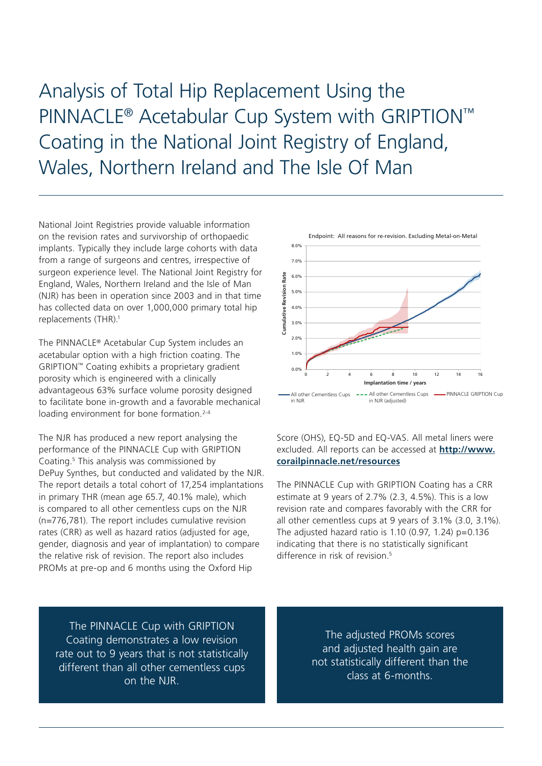Analysis of Total Hip Replacement Using the PINNACLE® Acetabular Cup System with GRIPTION™ Coating in the National Joint Registry of England, Wales, Northern Ireland and The Isle Of Man

National Joint Registries provide valuable information on the revision rates and survivorship of orthopaedic implants. Typically they include large cohorts with data from a range of surgeons and centres, irrespective of surgeon experience level. The National Joint Registry for England, Wales, Northern Ireland and the Isle of Man (NJR) has been in operation since 2003 and in that time has collected data on over 1,000,000 primary total hip replacements (THR).<sup>1</sup>

The PINNACLE® Acetabular Cup System includes an acetabular option with a high friction coating. The GRIPTION™ Coating exhibits a proprietary gradient porosity which is engineered with a clinically advantageous 63% surface volume porosity designed to facilitate bone in-growth and a favorable mechanical loading environment for bone formation.<sup>2-4</sup>

The NJR has produced a new report analysing the performance of the PINNACLE Cup with GRIPTION Coating.<sup>5</sup> This analysis was commissioned by DePuy Synthes, but conducted and validated by the NJR. The report details a total cohort of 17,254 implantations in primary THR (mean age 65.7, 40.1% male), which is compared to all other cementless cups on the NJR (n=776,781). The report includes cumulative revision rates (CRR) as well as hazard ratios (adjusted for age, gender, diagnosis and year of implantation) to compare the relative risk of revision. The report also includes PROMs at pre-op and 6 months using the Oxford Hip



Score (OHS), EQ-5D and EQ-VAS. All metal liners were excluded. All reports can be accessed at **[http://www.](http://www.corailpinnacle.net/resources) [corailpinnacle.net/resources](http://www.corailpinnacle.net/resources)**

The PINNACLE Cup with GRIPTION Coating has a CRR estimate at 9 years of 2.7% (2.3, 4.5%). This is a low revision rate and compares favorably with the CRR for all other cementless cups at 9 years of 3.1% (3.0, 3.1%). The adjusted hazard ratio is  $1.10$  (0.97,  $1.24$ ) p=0.136 indicating that there is no statistically significant difference in risk of revision.<sup>5</sup>

The PINNACLE Cup with GRIPTION Coating demonstrates a low revision rate out to 9 years that is not statistically different than all other cementless cups on the NJR.

The adjusted PROMs scores and adjusted health gain are not statistically different than the class at 6-months.